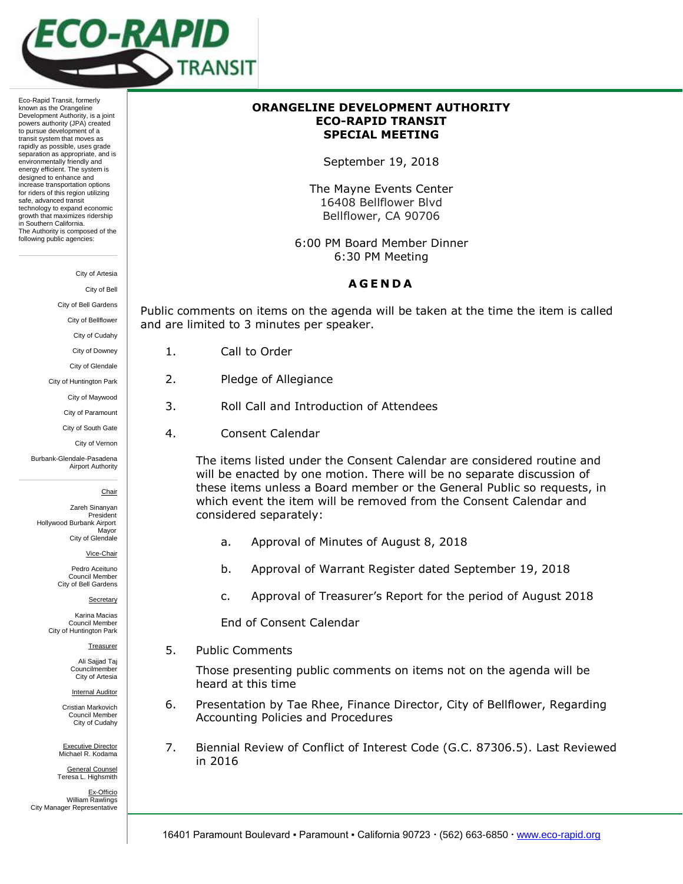

Eco-Rapid Transit, formerly known as the Orangeline Development Authority, is a joint powers authority (JPA) created to pursue development of a transit system that moves as rapidly as possible, uses grade separation as appropriate, and is environmentally friendly and energy efficient. The system is designed to enhance and increase transportation options for riders of this region utilizing safe, advanced transit technology to expand economic growth that maximizes ridership in Southern California. The Authority is composed of the following public agencies:

City of Artesia

City of Bell

City of Bell Gardens City of Bellflower

City of Cudahy

City of Downey City of Glendale

City of Huntington Park City of Maywood City of Paramount City of South Gate City of Vernon

Burbank-Glendale-Pasadena Airport Authority

Hollywood Burbank Airport

Chair Zareh Sinanyan President

 Mayor City of Glendale Vice-Chair Pedro Aceituno Council Member City of Bell Gardens

Secretary Karina Macias Council Member City of Huntington Park

> Treasurer Ali Sajjad Taj Councilmember City of Artesia Internal Auditor Cristian Markovich Council Member City of Cudahy

- 2. Pledge of Allegiance
- 3. Roll Call and Introduction of Attendees
- 4. Consent Calendar

The items listed under the Consent Calendar are considered routine and will be enacted by one motion. There will be no separate discussion of which event the item will be removed from the Consent Calendar and considered separately:

- b. Approval of Warrant Register dated September 19, 2018
- c. Approval of Treasurer's Report for the period of August 2018

End of Consent Calendar

5. Public Comments

Those presenting public comments on items not on the agenda will be heard at this time

- 6. Presentation by Tae Rhee, Finance Director, City of Bellflower, Regarding Accounting Policies and Procedures
- 7. Biennial Review of Conflict of Interest Code (G.C. 87306.5). Last Reviewed in 2016

Executive Director

Michael R. Kodama General Counsel Teresa L. Highsmith

Ex-Officio William Rawlings City Manager Representative

## **ORANGELINE DEVELOPMENT AUTHORITY ECO-RAPID TRANSIT SPECIAL MEETING**

September 19, 2018

The Mayne Events Center 16408 Bellflower Blvd Bellflower, CA 90706

6:00 PM Board Member Dinner 6:30 PM Meeting

## **A G E N D A**

Public comments on items on the agenda will be taken at the time the item is called and are limited to 3 minutes per speaker.

- 1. Call to Order
- 
- 
- 

these items unless a Board member or the General Public so requests, in a. Approval of Minutes of August 8, 2018

16401 Paramount Boulevard · Paramount · California 90723 · (562) 663-6850 · [www.eco-rapid.org](http://www.eco-rapid.org/)